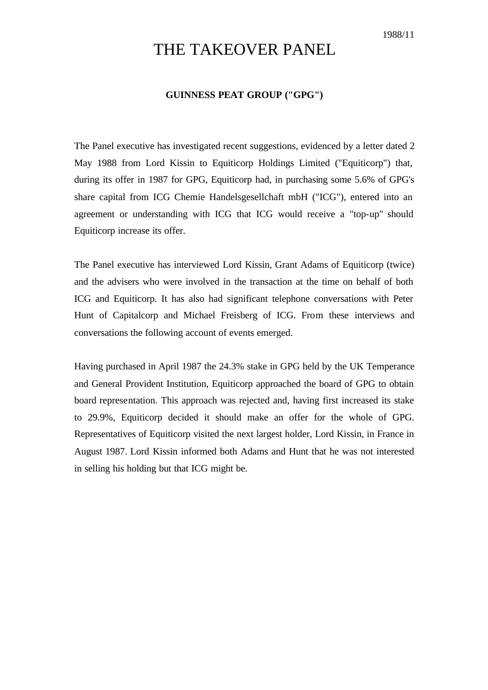## THE TAKEOVER PANEL

## **GUINNESS PEAT GROUP ("GPG")**

The Panel executive has investigated recent suggestions, evidenced by a letter dated 2 May 1988 from Lord Kissin to Equiticorp Holdings Limited ("Equiticorp") that, during its offer in 1987 for GPG, Equiticorp had, in purchasing some 5.6% of GPG's share capital from ICG Chemie Handelsgesellchaft mbH ("ICG"), entered into an agreement or understanding with ICG that ICG would receive a "top-up" should Equiticorp increase its offer.

The Panel executive has interviewed Lord Kissin, Grant Adams of Equiticorp (twice) and the advisers who were involved in the transaction at the time on behalf of both ICG and Equiticorp. It has also had significant telephone conversations with Peter Hunt of Capitalcorp and Michael Freisberg of ICG. From these interviews and conversations the following account of events emerged.

Having purchased in April 1987 the 24.3% stake in GPG held by the UK Temperance and General Provident Institution, Equiticorp approached the board of GPG to obtain board representation. This approach was rejected and, having first increased its stake to 29.9%, Equiticorp decided it should make an offer for the whole of GPG. Representatives of Equiticorp visited the next largest holder, Lord Kissin, in France in August 1987. Lord Kissin informed both Adams and Hunt that he was not interested in selling his holding but that ICG might be.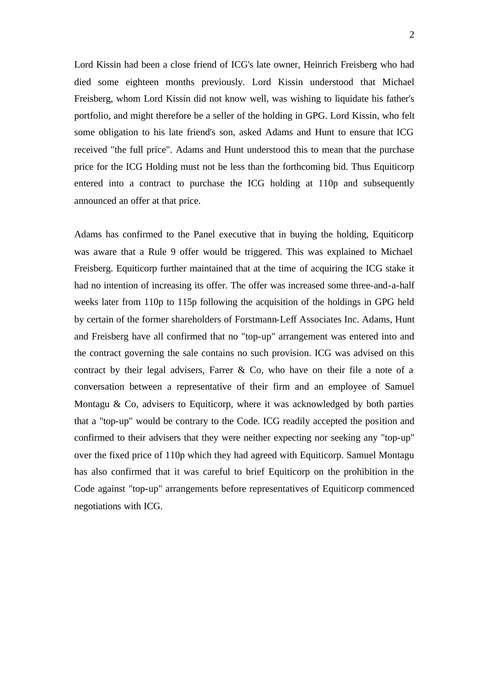Lord Kissin had been a close friend of ICG's late owner, Heinrich Freisberg who had died some eighteen months previously. Lord Kissin understood that Michael Freisberg, whom Lord Kissin did not know well, was wishing to liquidate his father's portfolio, and might therefore be a seller of the holding in GPG. Lord Kissin, who felt some obligation to his late friend's son, asked Adams and Hunt to ensure that ICG received "the full price". Adams and Hunt understood this to mean that the purchase price for the ICG Holding must not be less than the forthcoming bid. Thus Equiticorp entered into a contract to purchase the ICG holding at 110p and subsequently announced an offer at that price.

Adams has confirmed to the Panel executive that in buying the holding, Equiticorp was aware that a Rule 9 offer would be triggered. This was explained to Michael Freisberg. Equiticorp further maintained that at the time of acquiring the ICG stake it had no intention of increasing its offer. The offer was increased some three-and-a-half weeks later from 110p to 115p following the acquisition of the holdings in GPG held by certain of the former shareholders of Forstmann-Leff Associates Inc. Adams, Hunt and Freisberg have all confirmed that no "top-up" arrangement was entered into and the contract governing the sale contains no such provision. ICG was advised on this contract by their legal advisers, Farrer & Co, who have on their file a note of a conversation between a representative of their firm and an employee of Samuel Montagu  $\&$  Co, advisers to Equiticorp, where it was acknowledged by both parties that a "top-up" would be contrary to the Code. ICG readily accepted the position and confirmed to their advisers that they were neither expecting nor seeking any "top-up" over the fixed price of 110p which they had agreed with Equiticorp. Samuel Montagu has also confirmed that it was careful to brief Equiticorp on the prohibition in the Code against "top-up" arrangements before representatives of Equiticorp commenced negotiations with ICG.